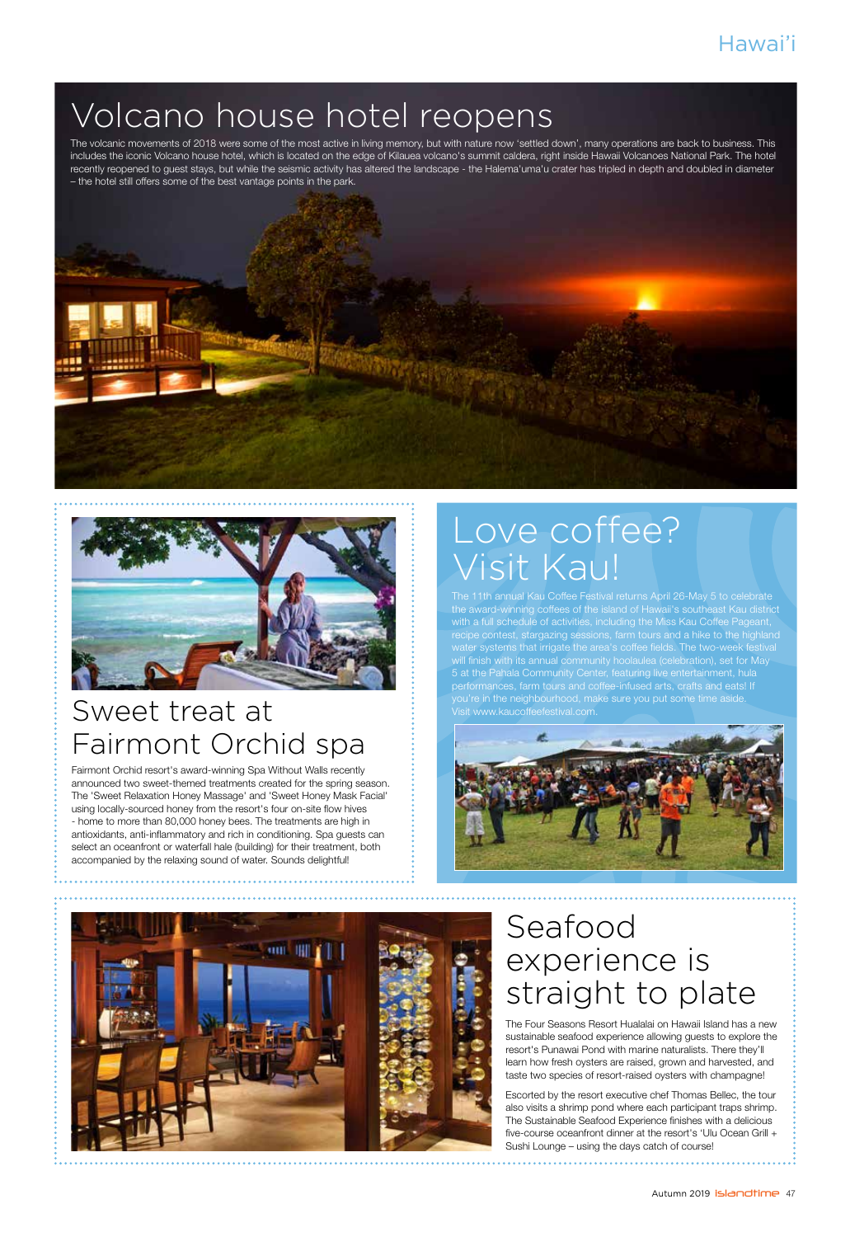# Volcano house hotel reopens

The volcanic movements of 2018 were some of the most active in living memory, but with nature now 'settled down', many operations are back to business. This includes the iconic Volcano house hotel, which is located on the edge of Kilauea volcano's summit caldera, right inside Hawaii Volcanoes National Park. The hotel recently reopened to guest stays, but while the seismic activity has altered the landscape - the Halema'uma'u crater has tripled in depth and doubled in diameter – the hotel still offers some of the best vantage points in the park.





### Sweet treat at Fairmont Orchid spa

Fairmont Orchid resort's award-winning Spa Without Walls recently announced two sweet-themed treatments created for the spring season. The 'Sweet Relaxation Honey Massage' and 'Sweet Honey Mask Facial' using locally-sourced honey from the resort's four on-site flow hives - home to more than 80,000 honey bees. The treatments are high in antioxidants, anti-inflammatory and rich in conditioning. Spa guests can select an oceanfront or waterfall hale (building) for their treatment, both accompanied by the relaxing sound of water. Sounds delightful!

# Love coffee? Visit Kau!

The 11th annual Kau Coffee Festival returns April 26-May 5 to celebrate the award-winning coffees of the island of Hawaii's southeast Kau district with a full schedule of activities, including the Miss Kau Coffee Pageant, water systems that irrigate the area's coffee fields. The two-week festival will finish with its annual community hoolaulea (celebration), set for May 5 at the Pahala Community Center, featuring live entertainment, hula you're in the neighbourhood, make sure you put some time aside. Visit www.kaucoffeefestival.com.





### Seafood experience is straight to plate

The Four Seasons Resort Hualalai on Hawaii Island has a new sustainable seafood experience allowing guests to explore the resort's Punawai Pond with marine naturalists. There they'll learn how fresh oysters are raised, grown and harvested, and taste two species of resort-raised oysters with champagne!

Escorted by the resort executive chef Thomas Bellec, the tour also visits a shrimp pond where each participant traps shrimp. The Sustainable Seafood Experience finishes with a delicious five-course oceanfront dinner at the resort's 'Ulu Ocean Grill + Sushi Lounge – using the days catch of course!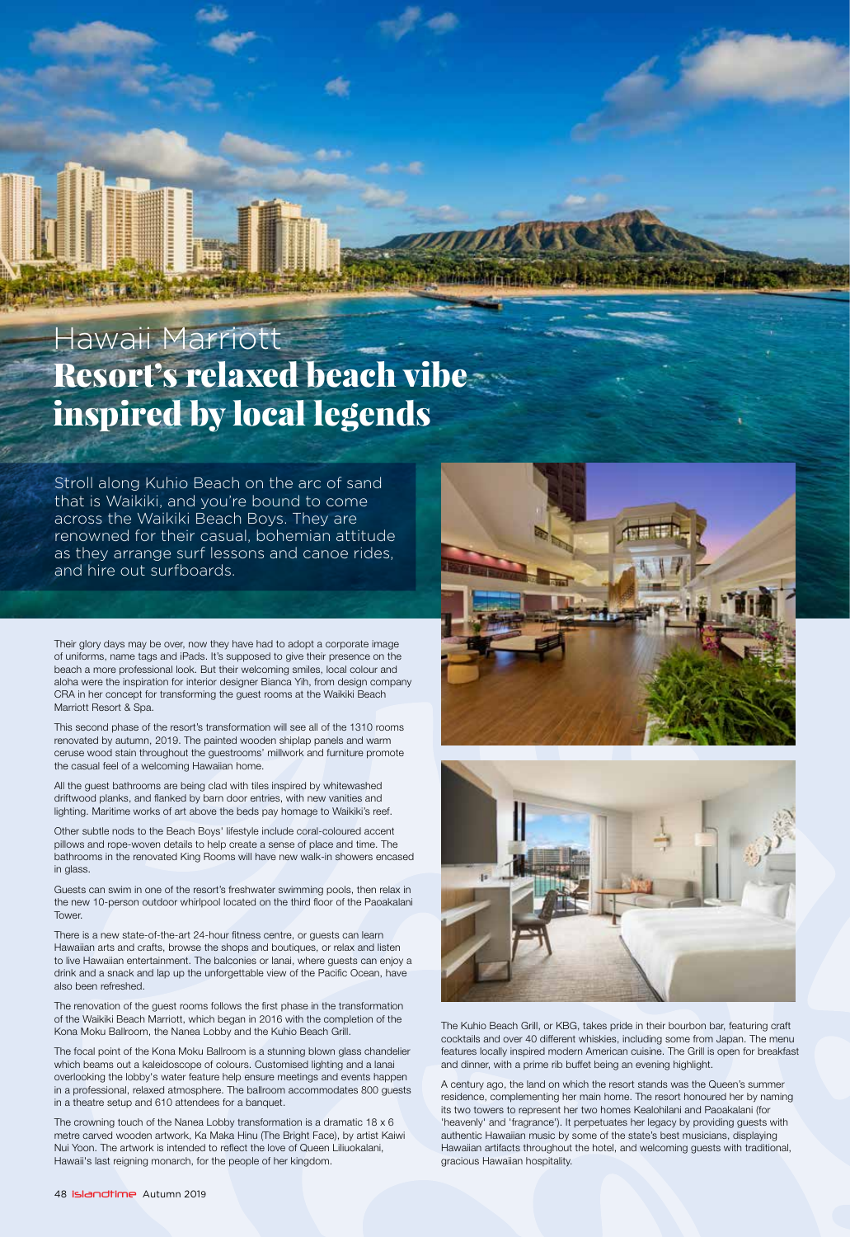## Resort's relaxed beach vibe inspired by local legends Hawaii Marriott

Stroll along Kuhio Beach on the arc of sand that is Waikiki, and you're bound to come across the Waikiki Beach Boys. They are renowned for their casual, bohemian attitude as they arrange surf lessons and canoe rides, and hire out surfboards.

Their glory days may be over, now they have had to adopt a corporate image of uniforms, name tags and iPads. It's supposed to give their presence on the beach a more professional look. But their welcoming smiles, local colour and aloha were the inspiration for interior designer Bianca Yih, from design company CRA in her concept for transforming the guest rooms at the Waikiki Beach Marriott Resort & Spa.

This second phase of the resort's transformation will see all of the 1310 rooms renovated by autumn, 2019. The painted wooden shiplap panels and warm ceruse wood stain throughout the guestrooms' millwork and furniture promote the casual feel of a welcoming Hawaiian home.

All the guest bathrooms are being clad with tiles inspired by whitewashed driftwood planks, and flanked by barn door entries, with new vanities and lighting. Maritime works of art above the beds pay homage to Waikiki's reef.

Other subtle nods to the Beach Boys' lifestyle include coral-coloured accent pillows and rope-woven details to help create a sense of place and time. The bathrooms in the renovated King Rooms will have new walk-in showers encased in glass

Guests can swim in one of the resort's freshwater swimming pools, then relax in the new 10-person outdoor whirlpool located on the third floor of the Paoakalani **Tower** 

There is a new state-of-the-art 24-hour fitness centre, or guests can learn Hawaiian arts and crafts, browse the shops and boutiques, or relax and listen to live Hawaiian entertainment. The balconies or lanai, where guests can enjoy a drink and a snack and lap up the unforgettable view of the Pacific Ocean, have also been refreshed.

The renovation of the guest rooms follows the first phase in the transformation of the Waikiki Beach Marriott, which began in 2016 with the completion of the Kona Moku Ballroom, the Nanea Lobby and the Kuhio Beach Grill.

The focal point of the Kona Moku Ballroom is a stunning blown glass chandelier which beams out a kaleidoscope of colours. Customised lighting and a lanai overlooking the lobby's water feature help ensure meetings and events happen in a professional, relaxed atmosphere. The ballroom accommodates 800 guests in a theatre setup and 610 attendees for a banquet.

The crowning touch of the Nanea Lobby transformation is a dramatic 18 x 6 metre carved wooden artwork, Ka Maka Hinu (The Bright Face), by artist Kaiwi Nui Yoon. The artwork is intended to reflect the love of Queen Liliuokalani, Hawaii's last reigning monarch, for the people of her kingdom.





The Kuhio Beach Grill, or KBG, takes pride in their bourbon bar, featuring craft cocktails and over 40 different whiskies, including some from Japan. The menu features locally inspired modern American cuisine. The Grill is open for breakfast and dinner, with a prime rib buffet being an evening highlight.

A century ago, the land on which the resort stands was the Queen's summer residence, complementing her main home. The resort honoured her by naming its two towers to represent her two homes Kealohilani and Paoakalani (for 'heavenly' and 'fragrance'). It perpetuates her legacy by providing guests with authentic Hawaiian music by some of the state's best musicians, displaying Hawaiian artifacts throughout the hotel, and welcoming guests with traditional, gracious Hawaiian hospitality.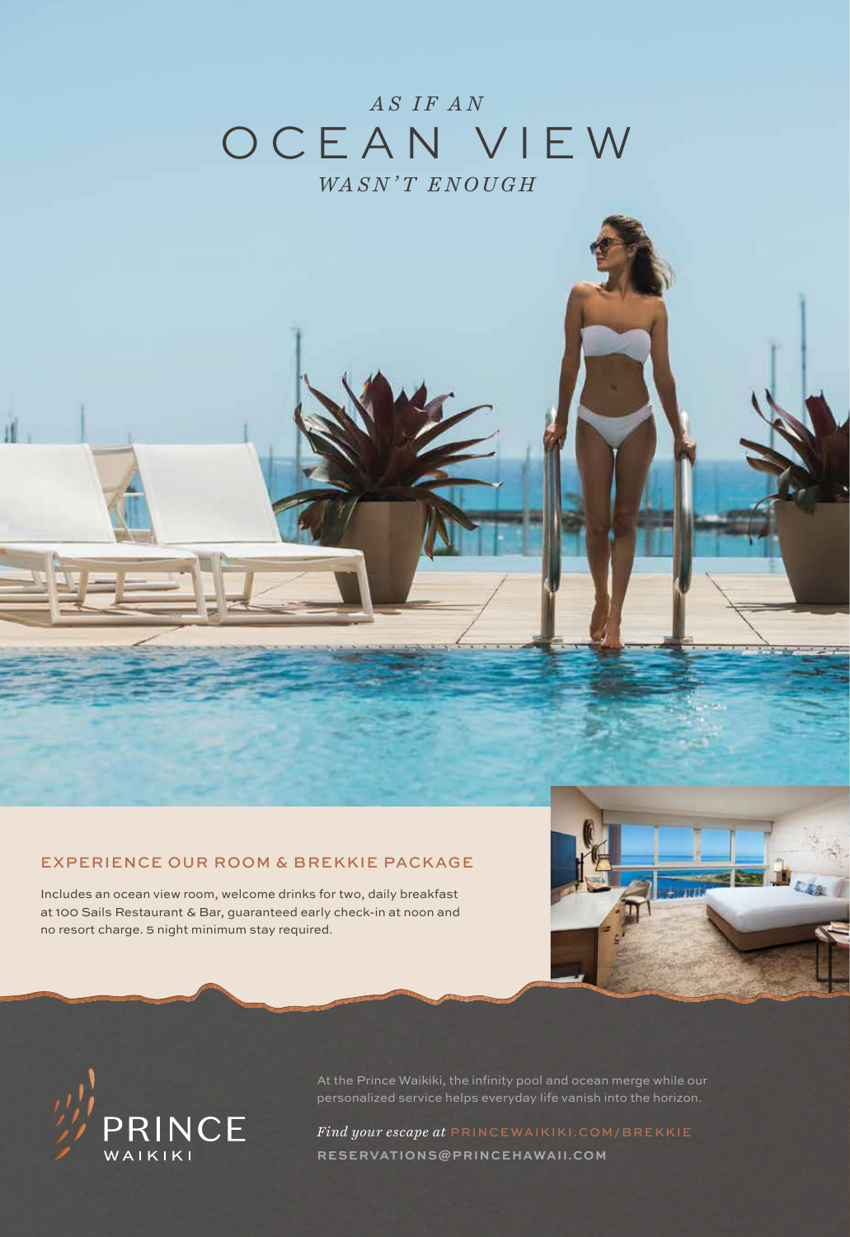### *AS IF AN* OCEAN VIEW *WASN'T ENOUGH*

#### EXPERIENCE OUR ROOM & BREKKIE PACKAGE

Includes an ocean view room, welcome drinks for two, daily breakfast at 100 Sails Restaurant & Bar, guaranteed early check-in at noon and no resort charge. 5 night minimum stay required.





At the Prince Waikiki, the infinity pool and ocean merge while our personalized service helps everyday life vanish into the horizon.

*Find your escape at* PRINCEWAIKIKI.COM/BREKKIE **RESERVATIONS@PRINCEHAWAII.COM**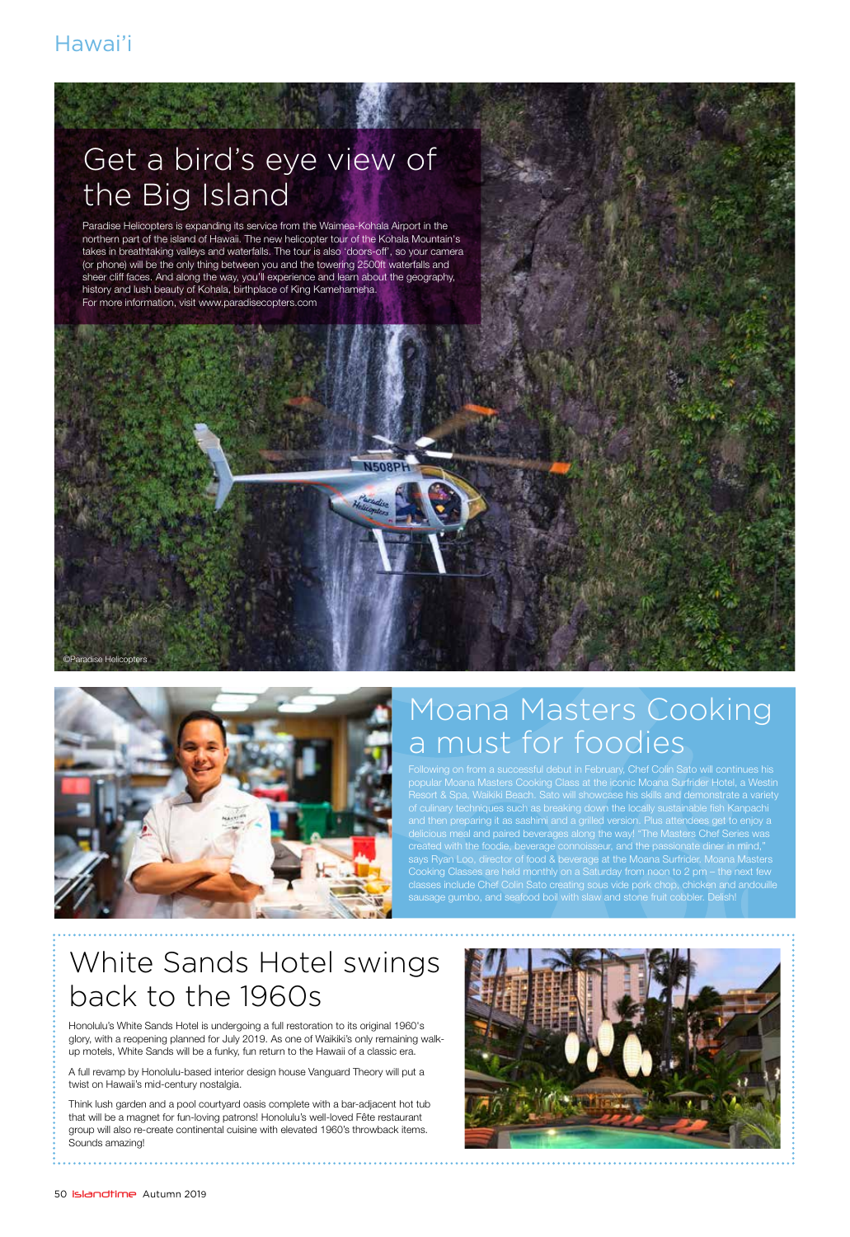# Get a bird's eye view of the Big Island

Paradise Helicopters is expanding its service from the Waimea-Kohala Airport in the northern part of the island of Hawaii. The new helicopter tour of the Kohala Mountain's takes in breathtaking valleys and waterfalls. The tour is also 'doors-off', so your camera (or phone) will be the only thing between you and the towering 2500ft waterfalls and sheer cliff faces. And along the way, you'll experience and learn about the geography, history and lush beauty of Kohala, birthplace of King Kamehameha. For more information, visit www.paradisecopters.com

**J508F** 



### Moana Masters Cooking a must for foodies

popular Moana Masters Cooking Class at the iconic Moana Surfrider Hotel, a Westin Resort & Spa, Waikiki Beach. Sato will showcase his skills and demonstrate a variety of culinary techniques such as breaking down the locally sustainable fish Kanpachi and then preparing it as sashimi and a grilled version. Plus attendees get to enjoy a delicious meal and paired beverages along the way! "The Masters Chef Series was created with the foodie, beverage connoisseur, and the passionate diner in mind," says Ryan Loo, director of food & beverage at the Moana Surfrider. Moana Masters Cooking Classes are held monthly on a Saturday from noon to 2 pm – the next few classes include Chef Colin Sato creating sous vide pork chop, chicken and andouille sausage gumbo, and seafood boil with slaw and stone fruit cobbler. Delish!

#### White Sands Hotel swings back to the 1960s

Honolulu's White Sands Hotel is undergoing a full restoration to its original 1960's glory, with a reopening planned for July 2019. As one of Waikiki's only remaining walkup motels, White Sands will be a funky, fun return to the Hawaii of a classic era.

A full revamp by Honolulu-based interior design house Vanguard Theory will put a twist on Hawaii's mid-century nostalgia.

Think lush garden and a pool courtyard oasis complete with a bar-adjacent hot tub that will be a magnet for fun-loving patrons! Honolulu's well-loved Fête restaurant group will also re-create continental cuisine with elevated 1960's throwback items. Sounds amazing!